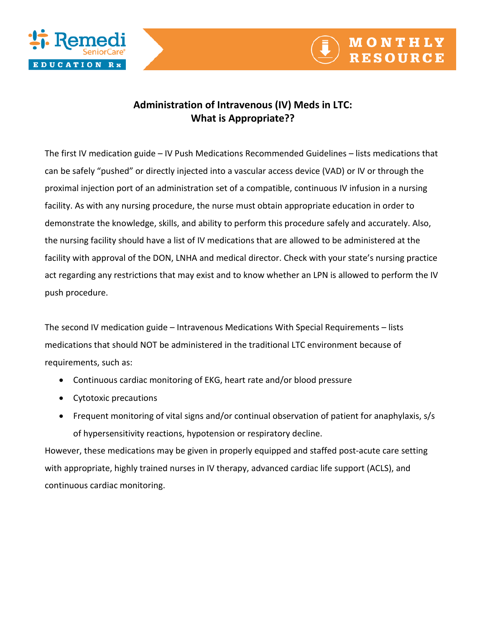



## **Administration of Intravenous (IV) Meds in LTC: What is Appropriate??**

The first IV medication guide – IV Push Medications Recommended Guidelines – lists medications that can be safely "pushed" or directly injected into a vascular access device (VAD) or IV or through the proximal injection port of an administration set of a compatible, continuous IV infusion in a nursing facility. As with any nursing procedure, the nurse must obtain appropriate education in order to demonstrate the knowledge, skills, and ability to perform this procedure safely and accurately. Also, the nursing facility should have a list of IV medications that are allowed to be administered at the facility with approval of the DON, LNHA and medical director. Check with your state's nursing practice act regarding any restrictions that may exist and to know whether an LPN is allowed to perform the IV push procedure.

The second IV medication guide – Intravenous Medications With Special Requirements – lists medications that should NOT be administered in the traditional LTC environment because of requirements, such as:

- Continuous cardiac monitoring of EKG, heart rate and/or blood pressure
- Cytotoxic precautions
- Frequent monitoring of vital signs and/or continual observation of patient for anaphylaxis, s/s of hypersensitivity reactions, hypotension or respiratory decline.

However, these medications may be given in properly equipped and staffed post-acute care setting with appropriate, highly trained nurses in IV therapy, advanced cardiac life support (ACLS), and continuous cardiac monitoring.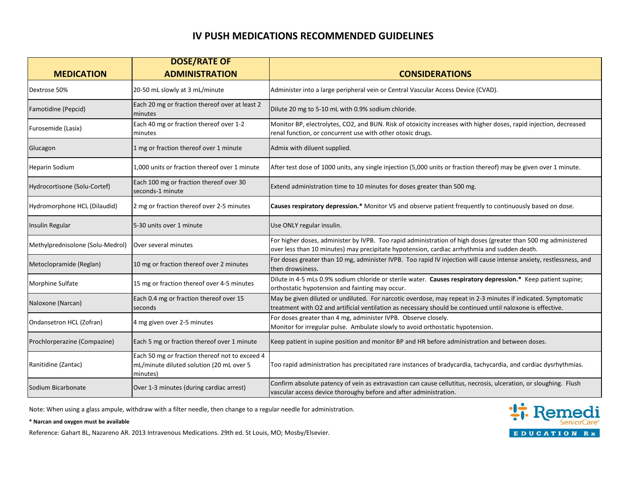## **IV PUSH MEDICATIONS RECOMMENDED GUIDELINES**

|                                  | <b>DOSE/RATE OF</b>                                                                                    |                                                                                                                                                                                                                             |
|----------------------------------|--------------------------------------------------------------------------------------------------------|-----------------------------------------------------------------------------------------------------------------------------------------------------------------------------------------------------------------------------|
| <b>MEDICATION</b>                | <b>ADMINISTRATION</b>                                                                                  | <b>CONSIDERATIONS</b>                                                                                                                                                                                                       |
| Dextrose 50%                     | 20-50 mL slowly at 3 mL/minute                                                                         | Administer into a large peripheral vein or Central Vascular Access Device (CVAD).                                                                                                                                           |
| Famotidine (Pepcid)              | Each 20 mg or fraction thereof over at least 2<br>minutes                                              | Dilute 20 mg to 5-10 mL with 0.9% sodium chloride.                                                                                                                                                                          |
| Furosemide (Lasix)               | Each 40 mg or fraction thereof over 1-2<br>minutes                                                     | Monitor BP, electrolytes, CO2, and BUN. Risk of otoxicity increases with higher doses, rapid injection, decreased<br>renal function, or concurrent use with other otoxic drugs.                                             |
| Glucagon                         | 1 mg or fraction thereof over 1 minute                                                                 | Admix with diluent supplied.                                                                                                                                                                                                |
| Heparin Sodium                   | 1,000 units or fraction thereof over 1 minute                                                          | After test dose of 1000 units, any single injection (5,000 units or fraction thereof) may be given over 1 minute.                                                                                                           |
| Hydrocortisone (Solu-Cortef)     | Each 100 mg or fraction thereof over 30<br>seconds-1 minute                                            | Extend administration time to 10 minutes for doses greater than 500 mg.                                                                                                                                                     |
| Hydromorphone HCL (Dilaudid)     | 2 mg or fraction thereof over 2-5 minutes                                                              | Causes respiratory depression.* Monitor VS and observe patient frequently to continuously based on dose.                                                                                                                    |
| <b>Insulin Regular</b>           | 5-30 units over 1 minute                                                                               | Use ONLY regular insulin.                                                                                                                                                                                                   |
| Methylprednisolone (Solu-Medrol) | Over several minutes                                                                                   | For higher doses, administer by IVPB. Too rapid administration of high doses (greater than 500 mg administered<br>over less than 10 minutes) may precipitate hypotension, cardiac arrhythmia and sudden death.              |
| Metoclopramide (Reglan)          | 10 mg or fraction thereof over 2 minutes                                                               | For doses greater than 10 mg, administer IVPB. Too rapid IV injection will cause intense anxiety, restlessness, and<br>then drowsiness.                                                                                     |
| Morphine Sulfate                 | 15 mg or fraction thereof over 4-5 minutes                                                             | Dilute in 4-5 mLs 0.9% sodium chloride or sterile water. Causes respiratory depression.* Keep patient supine;<br>orthostatic hypotension and fainting may occur.                                                            |
| Naloxone (Narcan)                | Each 0.4 mg or fraction thereof over 15<br>seconds                                                     | May be given diluted or undiluted. For narcotic overdose, may repeat in 2-3 minutes if indicated. Symptomatic<br>treatment with O2 and artificial ventilation as necessary should be continued until naloxone is effective. |
| Ondansetron HCL (Zofran)         | 4 mg given over 2-5 minutes                                                                            | For doses greater than 4 mg, administer IVPB. Observe closely.<br>Monitor for irregular pulse. Ambulate slowly to avoid orthostatic hypotension.                                                                            |
| Prochlorperazine (Compazine)     | Each 5 mg or fraction thereof over 1 minute                                                            | Keep patient in supine position and monitor BP and HR before administration and between doses.                                                                                                                              |
| Ranitidine (Zantac)              | Each 50 mg or fraction thereof not to exceed 4<br>mL/minute diluted solution (20 mL over 5<br>minutes) | Too rapid administration has precipitated rare instances of bradycardia, tachycardia, and cardiac dysrhythmias.                                                                                                             |
| Sodium Bicarbonate               | Over 1-3 minutes (during cardiac arrest)                                                               | Confirm absolute patency of vein as extravastion can cause cellutitus, necrosis, ulceration, or sloughing. Flush<br>vascular access device thoroughy before and after administration.                                       |

Note: When using a glass ampule, withdraw with a filter needle, then change to a regular needle for administration.

## **\* Narcan and oxygen must be available**

Reference: Gahart BL, Nazareno AR. 2013 Intravenous Medications. 29th ed. St Louis, MO; Mosby/Elsevier.